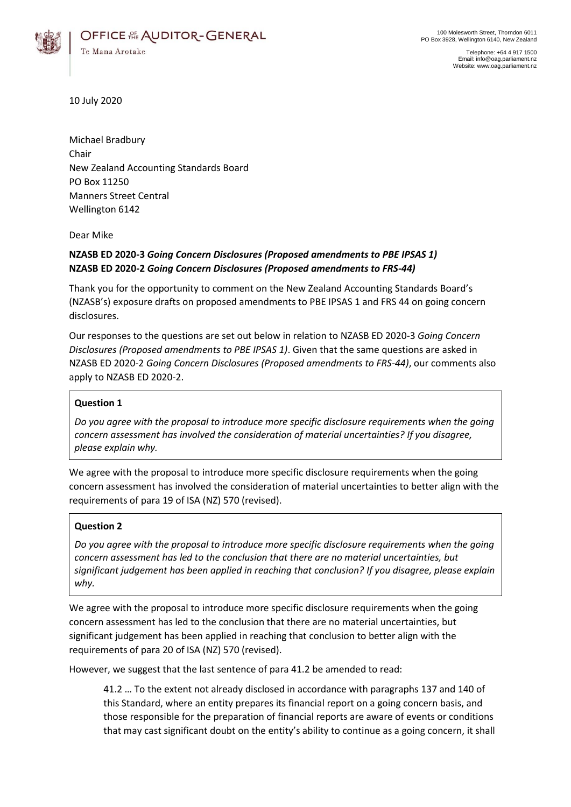

Telephone: +64 4 917 1500 Email: info@oag.parliament.nz Website: www.oag.parliament.nz

10 July 2020

Michael Bradbury Chair New Zealand Accounting Standards Board PO Box 11250 Manners Street Central Wellington 6142

Dear Mike

# **NZASB ED 2020-3** *Going Concern Disclosures (Proposed amendments to PBE IPSAS 1)* **NZASB ED 2020-2** *Going Concern Disclosures (Proposed amendments to FRS-44)*

Thank you for the opportunity to comment on the New Zealand Accounting Standards Board's (NZASB's) exposure drafts on proposed amendments to PBE IPSAS 1 and FRS 44 on going concern disclosures.

Our responses to the questions are set out below in relation to NZASB ED 2020-3 *Going Concern Disclosures (Proposed amendments to PBE IPSAS 1)*. Given that the same questions are asked in NZASB ED 2020-2 *Going Concern Disclosures (Proposed amendments to FRS-44)*, our comments also apply to NZASB ED 2020-2.

# **Question 1**

*Do you agree with the proposal to introduce more specific disclosure requirements when the going concern assessment has involved the consideration of material uncertainties? If you disagree, please explain why.*

We agree with the proposal to introduce more specific disclosure requirements when the going concern assessment has involved the consideration of material uncertainties to better align with the requirements of para 19 of ISA (NZ) 570 (revised).

## **Question 2**

*Do you agree with the proposal to introduce more specific disclosure requirements when the going concern assessment has led to the conclusion that there are no material uncertainties, but significant judgement has been applied in reaching that conclusion? If you disagree, please explain why.*

We agree with the proposal to introduce more specific disclosure requirements when the going concern assessment has led to the conclusion that there are no material uncertainties, but significant judgement has been applied in reaching that conclusion to better align with the requirements of para 20 of ISA (NZ) 570 (revised).

However, we suggest that the last sentence of para 41.2 be amended to read:

41.2 … To the extent not already disclosed in accordance with paragraphs 137 and 140 of this Standard, where an entity prepares its financial report on a going concern basis, and those responsible for the preparation of financial reports are aware of events or conditions that may cast significant doubt on the entity's ability to continue as a going concern, it shall